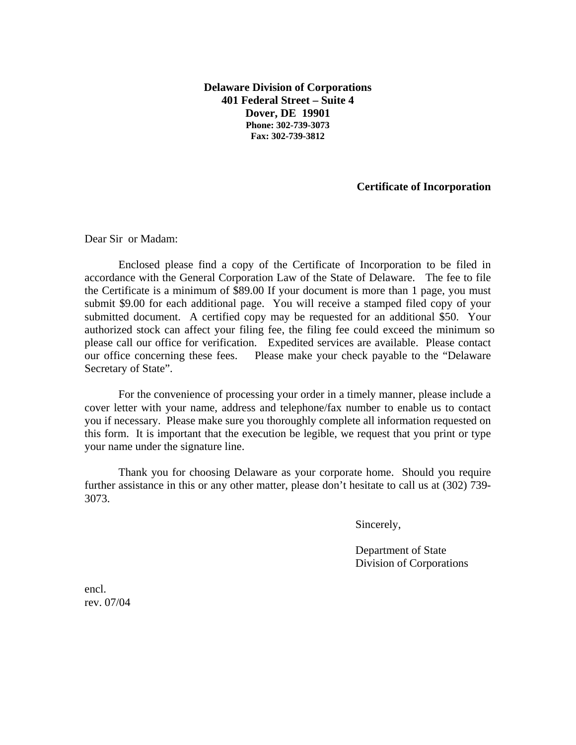**Delaware Division of Corporations 401 Federal Street – Suite 4 Dover, DE 19901 Phone: 302-739-3073 Fax: 302-739-3812**

## **Certificate of Incorporation**

Dear Sir or Madam:

Enclosed please find a copy of the Certificate of Incorporation to be filed in accordance with the General Corporation Law of the State of Delaware. The fee to file the Certificate is a minimum of \$89.00 If your document is more than 1 page, you must submit \$9.00 for each additional page. You will receive a stamped filed copy of your submitted document. A certified copy may be requested for an additional \$50. Your authorized stock can affect your filing fee, the filing fee could exceed the minimum so please call our office for verification. Expedited services are available. Please contact our office concerning these fees. Please make your check payable to the "Delaware Secretary of State".

For the convenience of processing your order in a timely manner, please include a cover letter with your name, address and telephone/fax number to enable us to contact you if necessary. Please make sure you thoroughly complete all information requested on this form. It is important that the execution be legible, we request that you print or type your name under the signature line.

Thank you for choosing Delaware as your corporate home. Should you require further assistance in this or any other matter, please don't hesitate to call us at (302) 739- 3073.

Sincerely,

 Department of State Division of Corporations

encl. rev. 07/04